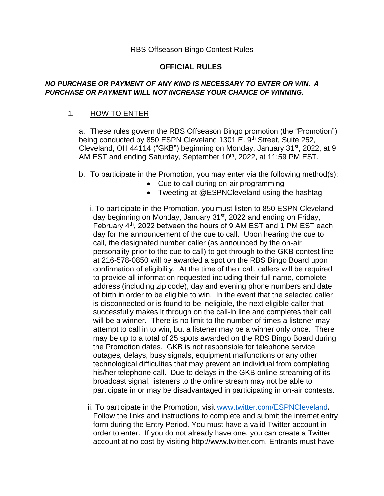#### **OFFICIAL RULES**

#### *NO PURCHASE OR PAYMENT OF ANY KIND IS NECESSARY TO ENTER OR WIN. A PURCHASE OR PAYMENT WILL NOT INCREASE YOUR CHANCE OF WINNING.*

## 1. HOW TO ENTER

a. These rules govern the RBS Offseason Bingo promotion (the "Promotion") being conducted by 850 ESPN Cleveland 1301 E. 9<sup>th</sup> Street, Suite 252, Cleveland, OH 44114 ("GKB") beginning on Monday, January 31<sup>st</sup>, 2022, at 9 AM EST and ending Saturday, September 10<sup>th</sup>, 2022, at 11:59 PM EST.

- b. To participate in the Promotion, you may enter via the following method(s):
	- Cue to call during on-air programming
	- Tweeting at @ESPNCleveland using the hashtag
	- i. To participate in the Promotion, you must listen to 850 ESPN Cleveland day beginning on Monday, January 31st, 2022 and ending on Friday, February  $4<sup>th</sup>$ , 2022 between the hours of 9 AM EST and 1 PM EST each day for the announcement of the cue to call. Upon hearing the cue to call, the designated number caller (as announced by the on-air personality prior to the cue to call) to get through to the GKB contest line at 216-578-0850 will be awarded a spot on the RBS Bingo Board upon confirmation of eligibility. At the time of their call, callers will be required to provide all information requested including their full name, complete address (including zip code), day and evening phone numbers and date of birth in order to be eligible to win. In the event that the selected caller is disconnected or is found to be ineligible, the next eligible caller that successfully makes it through on the call-in line and completes their call will be a winner. There is no limit to the number of times a listener may attempt to call in to win, but a listener may be a winner only once. There may be up to a total of 25 spots awarded on the RBS Bingo Board during the Promotion dates. GKB is not responsible for telephone service outages, delays, busy signals, equipment malfunctions or any other technological difficulties that may prevent an individual from completing his/her telephone call. Due to delays in the GKB online streaming of its broadcast signal, listeners to the online stream may not be able to participate in or may be disadvantaged in participating in on-air contests.
	- ii. To participate in the Promotion, visit [www.twitter.com/ESPNCleveland](http://www.twitter.com/ESPNCleveland)**.**  Follow the links and instructions to complete and submit the internet entry form during the Entry Period. You must have a valid Twitter account in order to enter. If you do not already have one, you can create a Twitter account at no cost by visiting http://www.twitter.com. Entrants must have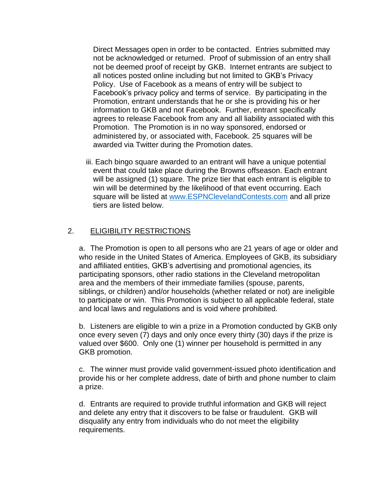Direct Messages open in order to be contacted. Entries submitted may not be acknowledged or returned. Proof of submission of an entry shall not be deemed proof of receipt by GKB. Internet entrants are subject to all notices posted online including but not limited to GKB's Privacy Policy. Use of Facebook as a means of entry will be subject to Facebook's privacy policy and terms of service. By participating in the Promotion, entrant understands that he or she is providing his or her information to GKB and not Facebook. Further, entrant specifically agrees to release Facebook from any and all liability associated with this Promotion. The Promotion is in no way sponsored, endorsed or administered by, or associated with, Facebook. 25 squares will be awarded via Twitter during the Promotion dates.

iii. Each bingo square awarded to an entrant will have a unique potential event that could take place during the Browns offseason. Each entrant will be assigned (1) square. The prize tier that each entrant is eligible to win will be determined by the likelihood of that event occurring. Each square will be listed at [www.ESPNClevelandContests.com](http://www.espnclevelandcontests.com/) and all prize tiers are listed below.

## 2. ELIGIBILITY RESTRICTIONS

a. The Promotion is open to all persons who are 21 years of age or older and who reside in the United States of America. Employees of GKB, its subsidiary and affiliated entities, GKB's advertising and promotional agencies, its participating sponsors, other radio stations in the Cleveland metropolitan area and the members of their immediate families (spouse, parents, siblings, or children) and/or households (whether related or not) are ineligible to participate or win. This Promotion is subject to all applicable federal, state and local laws and regulations and is void where prohibited.

b. Listeners are eligible to win a prize in a Promotion conducted by GKB only once every seven (7) days and only once every thirty (30) days if the prize is valued over \$600. Only one (1) winner per household is permitted in any GKB promotion.

c. The winner must provide valid government-issued photo identification and provide his or her complete address, date of birth and phone number to claim a prize.

d. Entrants are required to provide truthful information and GKB will reject and delete any entry that it discovers to be false or fraudulent. GKB will disqualify any entry from individuals who do not meet the eligibility requirements.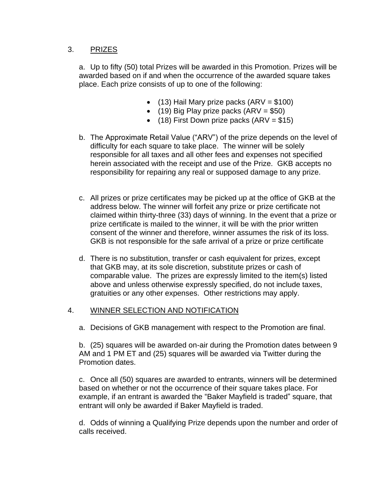## 3. PRIZES

a. Up to fifty (50) total Prizes will be awarded in this Promotion. Prizes will be awarded based on if and when the occurrence of the awarded square takes place. Each prize consists of up to one of the following:

- $(13)$  Hail Mary prize packs  $(ARV = $100)$
- (19) Big Play prize packs  $(ARV = $50)$
- $(18)$  First Down prize packs  $(ARV = $15)$
- b. The Approximate Retail Value ("ARV") of the prize depends on the level of difficulty for each square to take place. The winner will be solely responsible for all taxes and all other fees and expenses not specified herein associated with the receipt and use of the Prize. GKB accepts no responsibility for repairing any real or supposed damage to any prize.
- c. All prizes or prize certificates may be picked up at the office of GKB at the address below. The winner will forfeit any prize or prize certificate not claimed within thirty-three (33) days of winning. In the event that a prize or prize certificate is mailed to the winner, it will be with the prior written consent of the winner and therefore, winner assumes the risk of its loss. GKB is not responsible for the safe arrival of a prize or prize certificate
- d. There is no substitution, transfer or cash equivalent for prizes, except that GKB may, at its sole discretion, substitute prizes or cash of comparable value. The prizes are expressly limited to the item(s) listed above and unless otherwise expressly specified, do not include taxes, gratuities or any other expenses. Other restrictions may apply.

#### 4. WINNER SELECTION AND NOTIFICATION

a. Decisions of GKB management with respect to the Promotion are final.

b. (25) squares will be awarded on-air during the Promotion dates between 9 AM and 1 PM ET and (25) squares will be awarded via Twitter during the Promotion dates.

c. Once all (50) squares are awarded to entrants, winners will be determined based on whether or not the occurrence of their square takes place. For example, if an entrant is awarded the "Baker Mayfield is traded" square, that entrant will only be awarded if Baker Mayfield is traded.

d. Odds of winning a Qualifying Prize depends upon the number and order of calls received.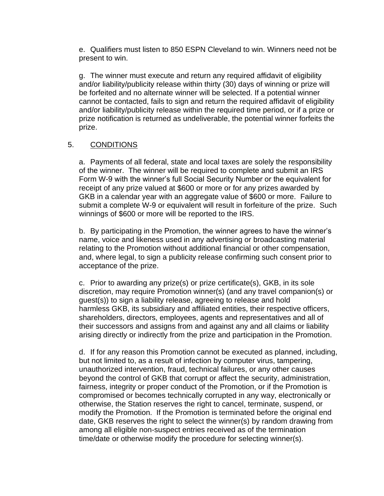e. Qualifiers must listen to 850 ESPN Cleveland to win. Winners need not be present to win.

g. The winner must execute and return any required affidavit of eligibility and/or liability/publicity release within thirty (30) days of winning or prize will be forfeited and no alternate winner will be selected. If a potential winner cannot be contacted, fails to sign and return the required affidavit of eligibility and/or liability/publicity release within the required time period, or if a prize or prize notification is returned as undeliverable, the potential winner forfeits the prize.

## 5. CONDITIONS

a. Payments of all federal, state and local taxes are solely the responsibility of the winner. The winner will be required to complete and submit an IRS Form W-9 with the winner's full Social Security Number or the equivalent for receipt of any prize valued at \$600 or more or for any prizes awarded by GKB in a calendar year with an aggregate value of \$600 or more. Failure to submit a complete W-9 or equivalent will result in forfeiture of the prize. Such winnings of \$600 or more will be reported to the IRS.

b. By participating in the Promotion, the winner agrees to have the winner's name, voice and likeness used in any advertising or broadcasting material relating to the Promotion without additional financial or other compensation, and, where legal, to sign a publicity release confirming such consent prior to acceptance of the prize.

c. Prior to awarding any prize(s) or prize certificate(s), GKB, in its sole discretion, may require Promotion winner(s) (and any travel companion(s) or guest(s)) to sign a liability release, agreeing to release and hold harmless GKB, its subsidiary and affiliated entities, their respective officers, shareholders, directors, employees, agents and representatives and all of their successors and assigns from and against any and all claims or liability arising directly or indirectly from the prize and participation in the Promotion.

d. If for any reason this Promotion cannot be executed as planned, including, but not limited to, as a result of infection by computer virus, tampering, unauthorized intervention, fraud, technical failures, or any other causes beyond the control of GKB that corrupt or affect the security, administration, fairness, integrity or proper conduct of the Promotion, or if the Promotion is compromised or becomes technically corrupted in any way, electronically or otherwise, the Station reserves the right to cancel, terminate, suspend, or modify the Promotion. If the Promotion is terminated before the original end date, GKB reserves the right to select the winner(s) by random drawing from among all eligible non-suspect entries received as of the termination time/date or otherwise modify the procedure for selecting winner(s).